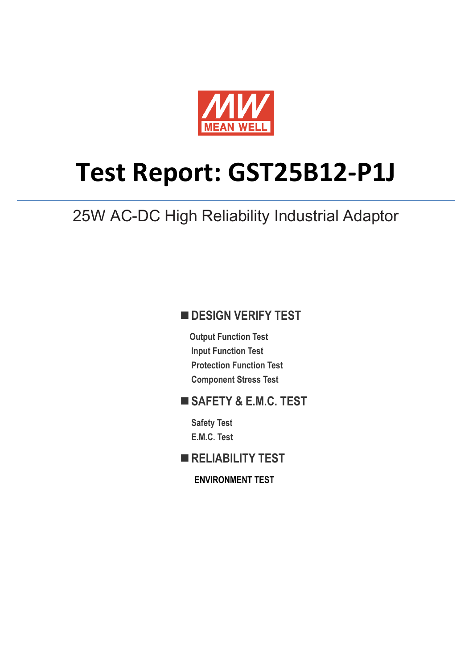

# **Test Report: GST25B12-P1J**

25W AC-DC High Reliability Industrial Adaptor

### **DESIGN VERIFY TEST**

**Output Function Test Input Function Test Protection Function Test Component Stress Test**

## **SAFETY & E.M.C. TEST**

**Safety Test E.M.C. Test**

**RELIABILITY TEST**

**ENVIRONMENT TEST**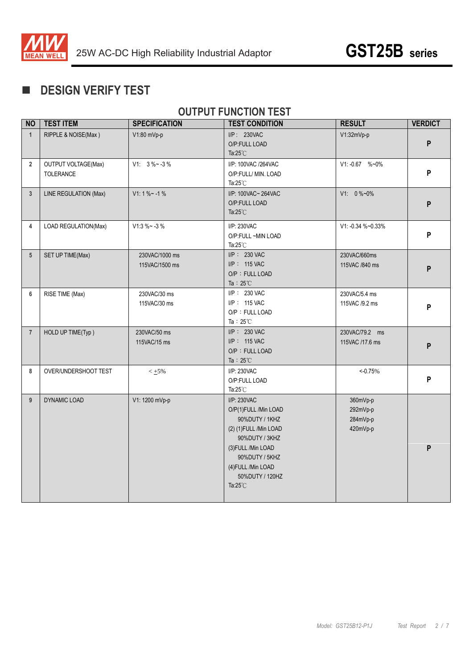

## **DESIGN VERIFY TEST**

## **OUTPUT FUNCTION TEST**

| <b>NO</b>               | <b>TEST ITEM</b>                        | <b>SPECIFICATION</b>             | <b>TEST CONDITION</b>                                                                                                                                                                                       | <b>RESULT</b>                                | <b>VERDICT</b> |
|-------------------------|-----------------------------------------|----------------------------------|-------------------------------------------------------------------------------------------------------------------------------------------------------------------------------------------------------------|----------------------------------------------|----------------|
| $\mathbf{1}$            | RIPPLE & NOISE(Max)                     | V1:80 mVp-p                      | I/P: 230VAC<br>O/P:FULL LOAD<br>Ta: $25^{\circ}$ C                                                                                                                                                          | V1:32mVp-p                                   | P              |
| $\overline{\mathbf{2}}$ | <b>OUTPUT VOLTAGE(Max)</b><br>TOLERANCE | $V1: 3\%~3$ - 3 %                | I/P: 100VAC /264VAC<br>O/P:FULL/ MIN. LOAD<br>Ta: $25^{\circ}$ C                                                                                                                                            | V1: -0.67 %~0%                               | P              |
| $\mathbf{3}$            | LINE REGULATION (Max)                   | $V1:1% - 1%$                     | I/P: 100VAC~264VAC<br>O/P:FULL LOAD<br>Ta: $25^{\circ}$ C                                                                                                                                                   | $V1: 0\%~0\%$                                | P              |
| 4                       | LOAD REGULATION(Max)                    | $V1:3 \% ~ -3 %$                 | I/P: 230VAC<br>O/P:FULL ~MIN LOAD<br>Ta: $25^{\circ}$ C                                                                                                                                                     | V1: -0.34 %~0.33%                            | P              |
| $5\overline{)}$         | SET UP TIME(Max)                        | 230VAC/1000 ms<br>115VAC/1500 ms | I/P: 230 VAC<br>I/P: 115 VAC<br>O/P: FULL LOAD<br>Ta: $25^{\circ}$ C                                                                                                                                        | 230VAC/660ms<br>115VAC /840 ms               | P              |
| 6                       | RISE TIME (Max)                         | 230VAC/30 ms<br>115VAC/30 ms     | I/P: 230 VAC<br>I/P: 115 VAC<br>O/P: FULL LOAD<br>Ta: $25^{\circ}$ C                                                                                                                                        | 230VAC/5.4 ms<br>115VAC /9.2 ms              | P              |
| $\overline{7}$          | HOLD UP TIME(Typ)                       | 230VAC/50 ms<br>115VAC/15 ms     | I/P: 230 VAC<br>I/P: 115 VAC<br>O/P: FULL LOAD<br>Ta: $25^{\circ}$ C                                                                                                                                        | 230VAC/79.2 ms<br>115VAC /17.6 ms            | P              |
| 8                       | OVER/UNDERSHOOT TEST                    | $< +5\%$                         | I/P: 230VAC<br>O/P:FULL LOAD<br>Ta: $25^{\circ}$ C                                                                                                                                                          | $<-0.75%$                                    | P              |
| $\overline{9}$          | DYNAMIC LOAD                            | V1: 1200 mVp-p                   | I/P: 230VAC<br>O/P(1)FULL /Min LOAD<br>90%DUTY / 1KHZ<br>(2) (1) FULL / Min LOAD<br>90%DUTY / 3KHZ<br>(3) FULL / Min LOAD<br>90%DUTY / 5KHZ<br>(4) FULL / Min LOAD<br>50%DUTY / 120HZ<br>Ta: $25^{\circ}$ C | 360mVp-p<br>292mVp-p<br>284mVp-p<br>420mVp-p | P              |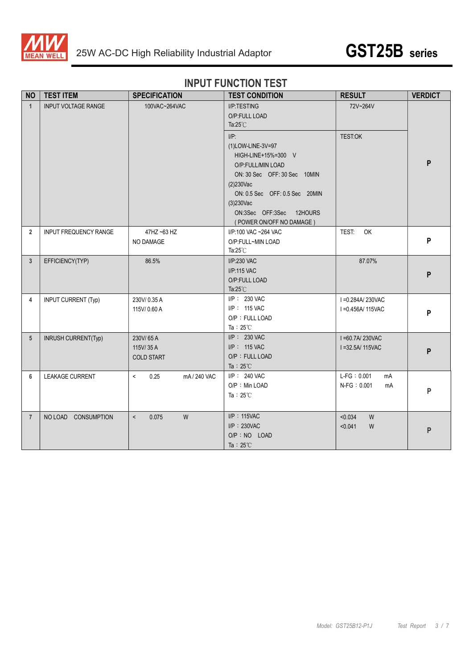



## **INPUT FUNCTION TEST**

| <b>NO</b>      | <b>TEST ITEM</b>             | <b>SPECIFICATION</b>                      | <b>TEST CONDITION</b>                                                                                                                                                                                                                 | <b>RESULT</b>                              | <b>VERDICT</b> |
|----------------|------------------------------|-------------------------------------------|---------------------------------------------------------------------------------------------------------------------------------------------------------------------------------------------------------------------------------------|--------------------------------------------|----------------|
| $\mathbf{1}$   | <b>INPUT VOLTAGE RANGE</b>   | 100VAC~264VAC                             | I/P:TESTING<br>O/P:FULL LOAD<br>Ta: $25^{\circ}$ C                                                                                                                                                                                    | 72V~264V                                   |                |
|                |                              |                                           | $I/P$ :<br>(1)LOW-LINE-3V=97<br>HIGH-LINE+15%=300 V<br>O/P:FULL/MIN LOAD<br>ON: 30 Sec OFF: 30 Sec 10MIN<br>$(2)230$ Vac<br>ON: 0.5 Sec OFF: 0.5 Sec 20MIN<br>$(3)230$ Vac<br>ON:3Sec OFF:3Sec<br>12HOURS<br>(POWER ON/OFF NO DAMAGE) | <b>TEST:OK</b>                             | P              |
| $\overline{2}$ | <b>INPUT FREQUENCY RANGE</b> | 47HZ ~63 HZ<br>NO DAMAGE                  | I/P:100 VAC ~264 VAC<br>O/P:FULL~MIN LOAD<br>Ta: $25^{\circ}$ C                                                                                                                                                                       | TEST:<br>OK                                | P              |
| $\overline{3}$ | EFFICIENCY(TYP)              | 86.5%                                     | I/P:230 VAC<br>I/P:115 VAC<br>O/P:FULL LOAD<br>Ta: $25^{\circ}$ C                                                                                                                                                                     | 87.07%                                     | P              |
| 4              | <b>INPUT CURRENT (Typ)</b>   | 230V/0.35A<br>115V/0.60 A                 | I/P: 230 VAC<br>I/P: 115 VAC<br>O/P: FULL LOAD<br>Ta: $25^{\circ}$ C                                                                                                                                                                  | I = 0.284A/230VAC<br>I = 0.456A/115VAC     | P              |
| 5              | INRUSH CURRENT(Typ)          | 230V/65A<br>115V/35A<br><b>COLD START</b> | I/P: 230 VAC<br>I/P: 115 VAC<br>O/P: FULL LOAD<br>Ta: $25^{\circ}$ C                                                                                                                                                                  | I=60.7A/230VAC<br>I = 32.5A/ 115VAC        | P              |
| 6              | <b>LEAKAGE CURRENT</b>       | $\prec$<br>0.25<br>mA / 240 VAC           | I/P: 240 VAC<br>O/P: Min LOAD<br>Ta: $25^{\circ}$ C                                                                                                                                                                                   | $L-FG: 0.001$<br>mA<br>$N-FG: 0.001$<br>mA | P              |
| $\overline{7}$ | NO LOAD CONSUMPTION          | 0.075<br>W<br>$\,<\,$                     | I/P: 115VAC<br>$I/P$ : 230VAC<br>O/P : NO LOAD<br>Ta: $25^{\circ}$ C                                                                                                                                                                  | < 0.034<br>W<br>< 0.041<br>W               | P              |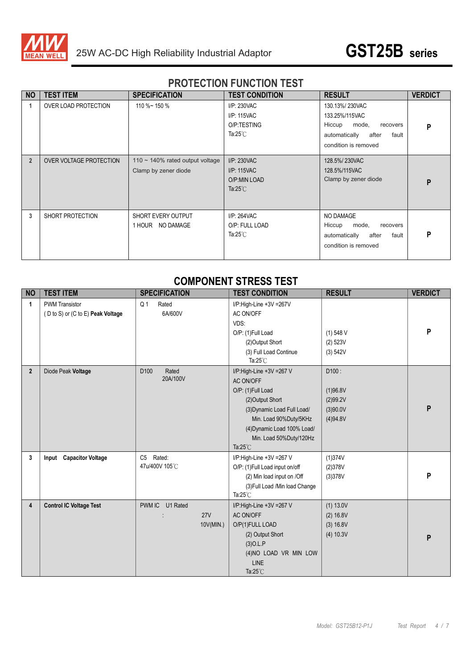

## **PROTECTION FUNCTION TEST**

| <b>NO</b>      | <b>TEST ITEM</b>        | <b>SPECIFICATION</b>                                         | <b>TEST CONDITION</b>                                                   | <b>RESULT</b>                                                                                                              | <b>VERDICT</b> |
|----------------|-------------------------|--------------------------------------------------------------|-------------------------------------------------------------------------|----------------------------------------------------------------------------------------------------------------------------|----------------|
|                | OVER LOAD PROTECTION    | 110 %~ 150 %                                                 | I/P: 230VAC<br>I/P: 115VAC<br>O/P:TESTING<br>Ta: $25^{\circ}$ C         | 130.13%/230VAC<br>133.25%/115VAC<br>Hiccup<br>mode,<br>recovers<br>automatically<br>after<br>fault<br>condition is removed | P              |
| $\overline{2}$ | OVER VOLTAGE PROTECTION | 110 $\sim$ 140% rated output voltage<br>Clamp by zener diode | I/P: 230VAC<br><b>I/P: 115VAC</b><br>O/P:MIN LOAD<br>Ta: $25^{\circ}$ C | 128.5%/230VAC<br>128.5%/115VAC<br>Clamp by zener diode                                                                     | P              |
| 3              | SHORT PROTECTION        | SHORT EVERY OUTPUT<br>1 HOUR NO DAMAGE                       | I/P: 264VAC<br>O/P: FULL LOAD<br>Ta: $25^{\circ}$ C                     | NO DAMAGE<br>Hiccup<br>mode,<br>recovers<br>automatically<br>after<br>fault<br>condition is removed                        | P              |

#### **COMPONENT STRESS TEST**

| <b>NO</b>      | <b>TEST ITEM</b>                  | <b>SPECIFICATION</b>      | <b>TEST CONDITION</b>          | <b>RESULT</b> | <b>VERDICT</b> |
|----------------|-----------------------------------|---------------------------|--------------------------------|---------------|----------------|
| 1              | <b>PWM Transistor</b>             | Q <sub>1</sub><br>Rated   | I/P:High-Line +3V =267V        |               |                |
|                | (D to S) or (C to E) Peak Voltage | 6A/600V                   | AC ON/OFF                      |               |                |
|                |                                   |                           | VDS:                           |               |                |
|                |                                   |                           | O/P: (1)Full Load              | $(1)$ 548 V   | P              |
|                |                                   |                           | (2) Output Short               | $(2)$ 523V    |                |
|                |                                   |                           | (3) Full Load Continue         | (3) 542V      |                |
|                |                                   |                           | Ta: $25^{\circ}$ C             |               |                |
| $\overline{2}$ | Diode Peak Voltage                | D <sub>100</sub><br>Rated | I/P:High-Line +3V =267 V       | D100:         |                |
|                |                                   | 20A/100V                  | AC ON/OFF                      |               |                |
|                |                                   |                           | O/P: (1)Full Load              | (1)96.8V      |                |
|                |                                   |                           | (2) Output Short               | (2)99.2V      |                |
|                |                                   |                           | (3) Dynamic Load Full Load/    | (3)90.0V      | P              |
|                |                                   |                           | Min. Load 90%Duty/5KHz         | (4)94.8V      |                |
|                |                                   |                           | (4) Dynamic Load 100% Load/    |               |                |
|                |                                   |                           | Min. Load 50%Duty/120Hz        |               |                |
|                |                                   |                           | Ta:25°C                        |               |                |
| 3              | Input Capacitor Voltage           | C5 Rated:                 | I/P:High-Line +3V =267 V       | (1)374V       |                |
|                |                                   | 47u/400V 105°C            | O/P: (1)Full Load input on/off | (2)378V       |                |
|                |                                   |                           | (2) Min load input on /Off     | (3)378V       | P              |
|                |                                   |                           | (3) Full Load /Min load Change |               |                |
|                |                                   |                           | Ta: $25^{\circ}$ C             |               |                |
| 4              | <b>Control IC Voltage Test</b>    | PWM IC U1 Rated           | I/P:High-Line +3V =267 V       | (1) 13.0V     |                |
|                |                                   | 27V                       | AC ON/OFF                      | (2) 16.8V     |                |
|                |                                   | 10V(MIN.)                 | O/P(1)FULL LOAD                | (3) 16.8V     |                |
|                |                                   |                           | (2) Output Short               | (4) 10.3V     | P              |
|                |                                   |                           | (3)O.L.P                       |               |                |
|                |                                   |                           | (4)NO LOAD VR MIN LOW          |               |                |
|                |                                   |                           | LINE                           |               |                |
|                |                                   |                           | Ta: $25^{\circ}$ C             |               |                |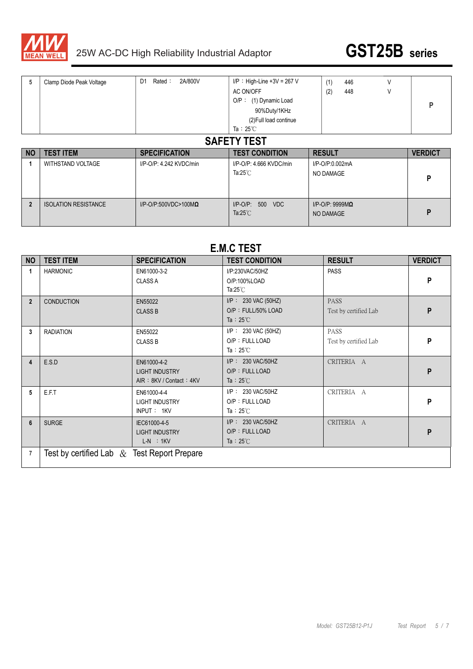

**2** ISOLATION RESISTANCE I/P-O/P:500VDC>100M**Ω** I/P-O/P: 500 VDC



I/P-O/P: 9999M**Ω**

NO DAMAGE **P** 

| 5         | Clamp Diode Peak Voltage | 2A/800V<br>D <sub>1</sub><br>Rated: | $I/P$ : High-Line +3V = 267 V<br>AC ON/OFF<br>$O/P$ : (1) Dynamic Load<br>90%Duty/1KHz<br>(2) Full load continue<br>Ta: $25^{\circ}$ C<br><b>SAFETY TEST</b> | (1)<br>446<br>(2)<br>448<br>V |                |
|-----------|--------------------------|-------------------------------------|--------------------------------------------------------------------------------------------------------------------------------------------------------------|-------------------------------|----------------|
|           |                          |                                     |                                                                                                                                                              |                               |                |
| <b>NO</b> | <b>TEST ITEM</b>         | <b>SPECIFICATION</b>                | <b>TEST CONDITION</b>                                                                                                                                        | <b>RESULT</b>                 | <b>VERDICT</b> |
|           | <b>WITHSTAND VOLTAGE</b> | I/P-O/P: 4.242 KVDC/min             | I/P-O/P: 4.666 KVDC/min                                                                                                                                      | I/P-O/P:0.002mA               |                |
|           |                          |                                     | Ta: $25^{\circ}$ C                                                                                                                                           | NO DAMAGE                     | D              |

#### **E.M.C TEST**

Ta:25℃

| <b>NO</b>      | <b>TEST ITEM</b>                               | <b>SPECIFICATION</b>                                            | <b>TEST CONDITION</b>                                               | <b>RESULT</b>                        | <b>VERDICT</b> |
|----------------|------------------------------------------------|-----------------------------------------------------------------|---------------------------------------------------------------------|--------------------------------------|----------------|
| 1              | <b>HARMONIC</b>                                | EN61000-3-2<br><b>CLASS A</b>                                   | I/P:230VAC/50HZ<br>O/P:100%LOAD<br>Ta: $25^{\circ}$ C               | <b>PASS</b>                          | P              |
| $\overline{2}$ | <b>CONDUCTION</b>                              | EN55022<br><b>CLASS B</b>                                       | $I/P$ : 230 VAC (50HZ)<br>O/P: FULL/50% LOAD<br>Ta : $25^{\circ}$ C | <b>PASS</b><br>Test by certified Lab | P              |
| 3              | <b>RADIATION</b>                               | EN55022<br><b>CLASS B</b>                                       | $I/P$ : 230 VAC (50HZ)<br>O/P: FULL LOAD<br>Ta: $25^{\circ}$ C      | <b>PASS</b><br>Test by certified Lab | P              |
| 4              | E.S.D                                          | EN61000-4-2<br><b>LIGHT INDUSTRY</b><br>AIR: 8KV / Contact: 4KV | I/P: 230 VAC/50HZ<br>O/P: FULL LOAD<br>Ta : $25^{\circ}$ C          | CRITERIA A                           | P              |
| 5              | E.F.T                                          | EN61000-4-4<br><b>LIGHT INDUSTRY</b><br>INPUT: 1KV              | I/P: 230 VAC/50HZ<br>O/P: FULL LOAD<br>Ta : $25^{\circ}$ C          | CRITERIA A                           | P              |
| 6              | <b>SURGE</b>                                   | IEC61000-4-5<br><b>LIGHT INDUSTRY</b><br>$L-N$ : 1KV            | I/P: 230 VAC/50HZ<br>O/P: FULL LOAD<br>Ta : $25^{\circ}$ C          | CRITERIA A                           | P              |
| $\overline{7}$ | Test by certified Lab $\&$ Test Report Prepare |                                                                 |                                                                     |                                      |                |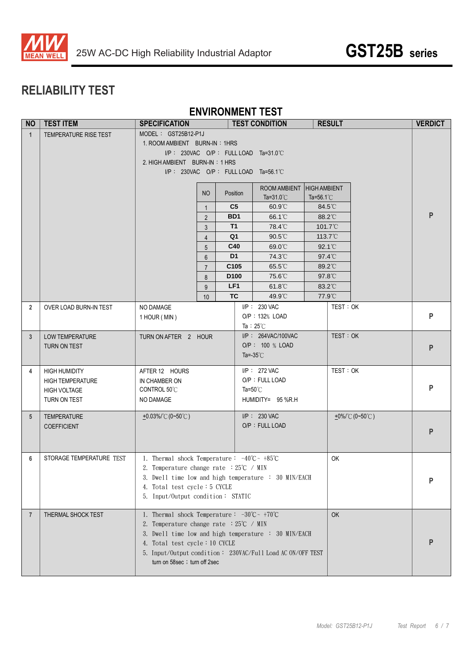

## **RELIABILITY TEST**

#### **ENVIRONMENT TEST**

| <b>NO</b>       | <b>TEST ITEM</b>         | <b>TEST CONDITION</b><br><b>SPECIFICATION</b>                                |                |                              |  | <b>RESULT</b>                           |                     | <b>VERDICT</b>    |                     |           |
|-----------------|--------------------------|------------------------------------------------------------------------------|----------------|------------------------------|--|-----------------------------------------|---------------------|-------------------|---------------------|-----------|
| $\overline{1}$  | TEMPERATURE RISE TEST    | MODEL: GST25B12-P1J                                                          |                |                              |  |                                         |                     |                   |                     |           |
|                 |                          | 1. ROOM AMBIENT BURN-IN: 1HRS                                                |                |                              |  |                                         |                     |                   |                     |           |
|                 |                          |                                                                              |                |                              |  | $I/P$ : 230VAC O/P: FULL LOAD Ta=31.0°C |                     |                   |                     |           |
|                 |                          | 2. HIGH AMBIENT BURN-IN: 1 HRS                                               |                |                              |  |                                         |                     |                   |                     |           |
|                 |                          |                                                                              |                |                              |  | I/P: 230VAC O/P: FULL LOAD Ta=56.1°C    |                     |                   |                     |           |
|                 |                          |                                                                              |                |                              |  | ROOM AMBIENT                            | <b>HIGH AMBIENT</b> |                   |                     |           |
|                 |                          |                                                                              | NO             | Position                     |  | Ta= $31.0^{\circ}$ C                    | Ta=56.1 $°C$        |                   |                     |           |
|                 |                          |                                                                              | $\mathbf{1}$   | C <sub>5</sub>               |  | 60.9°C                                  | 84.5°C              |                   |                     |           |
|                 |                          |                                                                              | $\overline{2}$ | BD1                          |  | 66.1 <sup>°</sup> C                     | 88.2°C              |                   |                     | P         |
|                 |                          |                                                                              | 3              | <b>T1</b>                    |  | 78.4°C                                  |                     | 101.7°C           |                     |           |
|                 |                          |                                                                              | $\overline{4}$ | Q <sub>1</sub>               |  | $90.5^{\circ}$                          |                     | 113.7 $\degree$ C |                     |           |
|                 |                          |                                                                              | 5              | C40                          |  | 69.0°C                                  |                     | $92.1^{\circ}$    |                     |           |
|                 |                          |                                                                              | $6\phantom{.}$ | D <sub>1</sub>               |  | 74.3°C                                  |                     | $97.4^{\circ}$    |                     |           |
|                 |                          |                                                                              | $\overline{7}$ | C105                         |  | 65.5°C                                  |                     | 89.2°C            |                     |           |
|                 |                          |                                                                              | 8              | D <sub>100</sub>             |  | 75.6°C                                  | 97.8°C              |                   |                     |           |
|                 |                          |                                                                              | 9              | LF <sub>1</sub><br><b>TC</b> |  | 61.8°C<br>49.9°C                        | 83.2°C<br>77.9°C    |                   |                     |           |
|                 |                          |                                                                              | 10             |                              |  | I/P: 230 VAC                            |                     | TEST: OK          |                     |           |
| $\overline{2}$  | OVER LOAD BURN-IN TEST   | NO DAMAGE<br>1 HOUR (MIN)                                                    |                |                              |  | O/P: 132% LOAD                          |                     |                   |                     | P         |
|                 |                          |                                                                              |                |                              |  | Ta : $25^{\circ}$ C                     |                     |                   |                     |           |
| $\overline{3}$  | <b>LOW TEMPERATURE</b>   | TURN ON AFTER 2 HOUR                                                         |                |                              |  | I/P: 264VAC/100VAC                      |                     | TEST: OK          |                     |           |
|                 | TURN ON TEST             |                                                                              |                |                              |  | O/P: 100 % LOAD                         |                     |                   |                     | ${\sf P}$ |
|                 |                          |                                                                              |                |                              |  | Ta=-35 $°C$                             |                     |                   |                     |           |
| 4               | <b>HIGH HUMIDITY</b>     | AFTER 12 HOURS                                                               |                |                              |  | I/P: 272 VAC                            |                     | TEST: OK          |                     |           |
|                 | <b>HIGH TEMPERATURE</b>  | IN CHAMBER ON                                                                |                |                              |  | O/P: FULL LOAD                          |                     |                   |                     |           |
|                 | <b>HIGH VOLTAGE</b>      | CONTROL 50°C                                                                 |                |                              |  | Ta=50 $°C$                              |                     |                   |                     | P         |
|                 | TURN ON TEST             | NO DAMAGE                                                                    |                |                              |  | HUMIDITY= 95 %R.H                       |                     |                   |                     |           |
|                 |                          |                                                                              |                |                              |  |                                         |                     |                   |                     |           |
| $5\phantom{.0}$ | <b>TEMPERATURE</b>       | $\pm 0.03\%$ (0~50°C)                                                        |                |                              |  | I/P: 230 VAC                            |                     |                   | $+0\%$ /°C (0~50°C) |           |
|                 | <b>COEFFICIENT</b>       |                                                                              |                |                              |  | O/P: FULL LOAD                          |                     |                   |                     | P         |
|                 |                          |                                                                              |                |                              |  |                                         |                     |                   |                     |           |
|                 |                          |                                                                              |                |                              |  |                                         |                     |                   |                     |           |
| 6               | STORAGE TEMPERATURE TEST | 1. Thermal shock Temperature: $-40^{\circ}\text{C} \sim +85^{\circ}\text{C}$ |                |                              |  |                                         |                     | OK                |                     |           |
|                 |                          | 2. Temperature change rate $:25^{\circ}C \rightarrow MIN$                    |                |                              |  |                                         |                     |                   |                     |           |
|                 |                          | 3. Dwell time low and high temperature : 30 MIN/EACH                         |                |                              |  |                                         |                     |                   |                     | P         |
|                 |                          | 4. Total test cycle: 5 CYCLE<br>5. Input/Output condition: STATIC            |                |                              |  |                                         |                     |                   |                     |           |
|                 |                          |                                                                              |                |                              |  |                                         |                     |                   |                     |           |
| $\overline{7}$  | THERMAL SHOCK TEST       | 1. Thermal shock Temperature: $-30^{\circ}\text{C} \sim +70^{\circ}\text{C}$ |                |                              |  |                                         |                     | OK                |                     |           |
|                 |                          | 2. Temperature change rate $:25^{\circ}C \rightarrow MIN$                    |                |                              |  |                                         |                     |                   |                     |           |
|                 |                          | 3. Dwell time low and high temperature : 30 MIN/EACH                         |                |                              |  |                                         |                     |                   |                     |           |
|                 |                          | 4. Total test cycle: 10 CYCLE                                                |                |                              |  |                                         |                     |                   |                     | P         |
|                 |                          | 5. Input/Output condition: 230VAC/Full Load AC ON/OFF TEST                   |                |                              |  |                                         |                     |                   |                     |           |
|                 |                          | turn on 58sec ; turn off 2sec                                                |                |                              |  |                                         |                     |                   |                     |           |
|                 |                          |                                                                              |                |                              |  |                                         |                     |                   |                     |           |